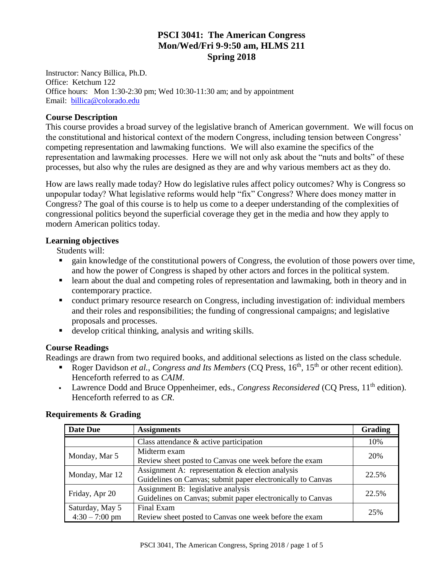## **PSCI 3041: The American Congress Mon/Wed/Fri 9-9:50 am, HLMS 211 Spring 2018**

Instructor: Nancy Billica, Ph.D. Office: Ketchum 122 Office hours: Mon 1:30-2:30 pm; Wed 10:30-11:30 am; and by appointment Email: [billica@colorado.edu](mailto:billica@colorado.edu)

#### **Course Description**

This course provides a broad survey of the legislative branch of American government. We will focus on the constitutional and historical context of the modern Congress, including tension between Congress' competing representation and lawmaking functions. We will also examine the specifics of the representation and lawmaking processes. Here we will not only ask about the "nuts and bolts" of these processes, but also why the rules are designed as they are and why various members act as they do.

How are laws really made today? How do legislative rules affect policy outcomes? Why is Congress so unpopular today? What legislative reforms would help "fix" Congress? Where does money matter in Congress? The goal of this course is to help us come to a deeper understanding of the complexities of congressional politics beyond the superficial coverage they get in the media and how they apply to modern American politics today.

#### **Learning objectives**

Students will:

- gain knowledge of the constitutional powers of Congress, the evolution of those powers over time, and how the power of Congress is shaped by other actors and forces in the political system.
- learn about the dual and competing roles of representation and lawmaking, both in theory and in contemporary practice.
- conduct primary resource research on Congress, including investigation of: individual members and their roles and responsibilities; the funding of congressional campaigns; and legislative proposals and processes.
- develop critical thinking, analysis and writing skills.

#### **Course Readings**

Readings are drawn from two required books, and additional selections as listed on the class schedule.

- Roger Davidson *et al., Congress and Its Members* (CQ Press, 16<sup>th</sup>, 15<sup>th</sup> or other recent edition). Henceforth referred to as *CAIM*.
- Lawrence Dodd and Bruce Oppenheimer, eds., *Congress Reconsidered* (CQ Press, 11th edition). Henceforth referred to as *CR*.

| <b>Date Due</b>  | <b>Assignments</b>                                          | Grading |
|------------------|-------------------------------------------------------------|---------|
|                  | Class attendance & active participation                     | 10%     |
| Monday, Mar 5    | Midterm exam                                                | 20%     |
|                  | Review sheet posted to Canvas one week before the exam      |         |
| Monday, Mar 12   | Assignment A: representation & election analysis            | 22.5%   |
|                  | Guidelines on Canvas; submit paper electronically to Canvas |         |
| Friday, Apr 20   | Assignment B: legislative analysis                          | 22.5%   |
|                  | Guidelines on Canvas; submit paper electronically to Canvas |         |
| Saturday, May 5  | Final Exam                                                  | 25%     |
| $4:30 - 7:00$ pm | Review sheet posted to Canvas one week before the exam      |         |

#### **Requirements & Grading**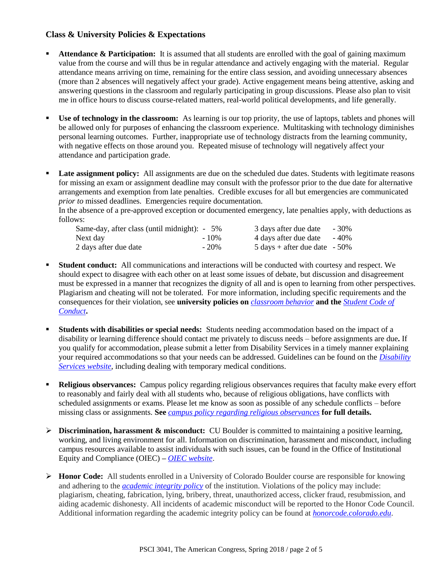### **Class & University Policies & Expectations**

- **Attendance & Participation:** It is assumed that all students are enrolled with the goal of gaining maximum value from the course and will thus be in regular attendance and actively engaging with the material. Regular attendance means arriving on time, remaining for the entire class session, and avoiding unnecessary absences (more than 2 absences will negatively affect your grade). Active engagement means being attentive, asking and answering questions in the classroom and regularly participating in group discussions. Please also plan to visit me in office hours to discuss course-related matters, real-world political developments, and life generally.
- **Use of technology in the classroom:** As learning is our top priority, the use of laptops, tablets and phones will be allowed only for purposes of enhancing the classroom experience. Multitasking with technology diminishes personal learning outcomes. Further, inappropriate use of technology distracts from the learning community, with negative effects on those around you. Repeated misuse of technology will negatively affect your attendance and participation grade.
- **Late assignment policy:** All assignments are due on the scheduled due dates. Students with legitimate reasons for missing an exam or assignment deadline may consult with the professor prior to the due date for alternative arrangements and exemption from late penalties. Credible excuses for all but emergencies are communicated *prior to* missed deadlines. Emergencies require documentation.

In the absence of a pre-approved exception or documented emergency, late penalties apply, with deductions as follows:

| Same-day, after class (until midnight): $-5\%$ |         | 3 days after due date                           | - 30% |
|------------------------------------------------|---------|-------------------------------------------------|-------|
| Next day                                       | $-10\%$ | 4 days after due date                           | - 40% |
| 2 days after due date                          | $-20\%$ | $5 \text{ days} + \text{after due date} - 50\%$ |       |

- **Student conduct:** All communications and interactions will be conducted with courtesy and respect. We should expect to disagree with each other on at least some issues of debate, but discussion and disagreement must be expressed in a manner that recognizes the dignity of all and is open to learning from other perspectives. Plagiarism and cheating will not be tolerated. For more information, including specific requirements and the consequences for their violation, see **university policies on** *[classroom behavior](http://www.colorado.edu/policies/student-classroom-and-course-related-behavior)* **and the** *[Student Code of](https://www.colorado.edu/osccr/sites/default/files/attached-files/2017-2018_student_code_of_conduct_0.pdf)  [Conduct](https://www.colorado.edu/osccr/sites/default/files/attached-files/2017-2018_student_code_of_conduct_0.pdf)***.**
- **Students with disabilities or special needs:** Students needing accommodation based on the impact of a disability or learning difference should contact me privately to discuss needs – before assignments are due**.** If you qualify for accommodation, please submit a letter from Disability Services in a timely manner explaining your required accommodations so that your needs can be addressed. Guidelines can be found on the *[Disability](http://www.colorado.edu/disabilityservices/)  [Services website](http://www.colorado.edu/disabilityservices/)*, including dealing with temporary medical conditions.
- **Religious observances:** Campus policy regarding religious observances requires that faculty make every effort to reasonably and fairly deal with all students who, because of religious obligations, have conflicts with scheduled assignments or exams. Please let me know as soon as possible of any schedule conflicts – before missing class or assignments. **See** *[campus policy regarding religious observances](http://www.colorado.edu/policies/observance-religious-holidays-and-absences-classes-andor-exams)* **for full details.**
- **Discrimination, harassment & misconduct:** CU Boulder is committed to maintaining a positive learning, working, and living environment for all. Information on discrimination, harassment and misconduct, including campus resources available to assist individuals with such issues, can be found in the Office of Institutional Equity and Compliance (OIEC) **–** *[OIEC website](http://click.communications.cu.edu/?qs=39c6bbe8c82a1d732054f117957d802dbfa206c70b1c5b513de173845a0d232cb5cf342b4ed5b660)*.
- **Honor Code:** All students enrolled in a University of Colorado Boulder course are responsible for knowing and adhering to the *[academic integrity policy](http://click.communications.cu.edu/?qs=39c6bbe8c82a1d73693839a46cfb5f41742794e4c28c3b7dd19eb84551b996198a4e1f0aff52671f)* of the institution. Violations of the policy may include: plagiarism, cheating, fabrication, lying, bribery, threat, unauthorized access, clicker fraud, resubmission, and aiding academic dishonesty. All incidents of academic misconduct will be reported to the Honor Code Council. Additional information regarding the academic integrity policy can be found at *[honorcode.colorado.edu](http://click.communications.cu.edu/?qs=39c6bbe8c82a1d734c73bf7d0e93d76ec728149ce2b1716d92fb8ad4a84306dc5bbde4e942ff9527)*.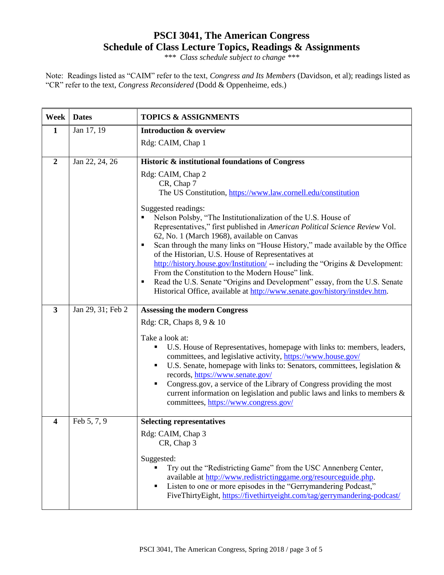# **PSCI 3041, The American Congress Schedule of Class Lecture Topics, Readings & Assignments**

*\*\*\* Class schedule subject to change \*\*\**

Note: Readings listed as "CAIM" refer to the text, *Congress and Its Members* (Davidson, et al); readings listed as "CR" refer to the text, *Congress Reconsidered* (Dodd & Oppenheime, eds.)

| Week             | <b>Dates</b>      | <b>TOPICS &amp; ASSIGNMENTS</b>                                                                                                                                                                                                                                                                                                                                                                                                                                               |
|------------------|-------------------|-------------------------------------------------------------------------------------------------------------------------------------------------------------------------------------------------------------------------------------------------------------------------------------------------------------------------------------------------------------------------------------------------------------------------------------------------------------------------------|
| $\mathbf{1}$     | Jan 17, 19        | <b>Introduction &amp; overview</b>                                                                                                                                                                                                                                                                                                                                                                                                                                            |
|                  |                   | Rdg: CAIM, Chap 1                                                                                                                                                                                                                                                                                                                                                                                                                                                             |
| $\boldsymbol{2}$ | Jan 22, 24, 26    | Historic & institutional foundations of Congress                                                                                                                                                                                                                                                                                                                                                                                                                              |
|                  |                   | Rdg: CAIM, Chap 2<br>CR, Chap 7<br>The US Constitution, https://www.law.cornell.edu/constitution<br>Suggested readings:                                                                                                                                                                                                                                                                                                                                                       |
|                  |                   | Nelson Polsby, "The Institutionalization of the U.S. House of<br>Representatives," first published in American Political Science Review Vol.<br>62, No. 1 (March 1968), available on Canvas                                                                                                                                                                                                                                                                                   |
|                  |                   | Scan through the many links on "House History," made available by the Office<br>٠<br>of the Historian, U.S. House of Representatives at<br>http://history.house.gov/Institution/ -- including the "Origins & Development:<br>From the Constitution to the Modern House" link.                                                                                                                                                                                                 |
|                  |                   | Read the U.S. Senate "Origins and Development" essay, from the U.S. Senate<br>٠<br>Historical Office, available at http://www.senate.gov/history/instdev.htm.                                                                                                                                                                                                                                                                                                                 |
| $\mathbf{3}$     | Jan 29, 31; Feb 2 | <b>Assessing the modern Congress</b>                                                                                                                                                                                                                                                                                                                                                                                                                                          |
|                  |                   | Rdg: CR, Chaps 8, 9 & 10                                                                                                                                                                                                                                                                                                                                                                                                                                                      |
|                  |                   | Take a look at:<br>U.S. House of Representatives, homepage with links to: members, leaders,<br>committees, and legislative activity, https://www.house.gov/<br>U.S. Senate, homepage with links to: Senators, committees, legislation &<br>records, https://www.senate.gov/<br>Congress.gov, a service of the Library of Congress providing the most<br>current information on legislation and public laws and links to members $\&$<br>committees, https://www.congress.gov/ |
| 4                | Feb 5, 7, 9       | <b>Selecting representatives</b>                                                                                                                                                                                                                                                                                                                                                                                                                                              |
|                  |                   | Rdg: CAIM, Chap 3<br>CR, Chap 3                                                                                                                                                                                                                                                                                                                                                                                                                                               |
|                  |                   | Suggested:<br>Try out the "Redistricting Game" from the USC Annenberg Center,<br>available at http://www.redistrictinggame.org/resourceguide.php.<br>Listen to one or more episodes in the "Gerrymandering Podcast,"<br>FiveThirtyEight, https://fivethirtyeight.com/tag/gerrymandering-podcast/                                                                                                                                                                              |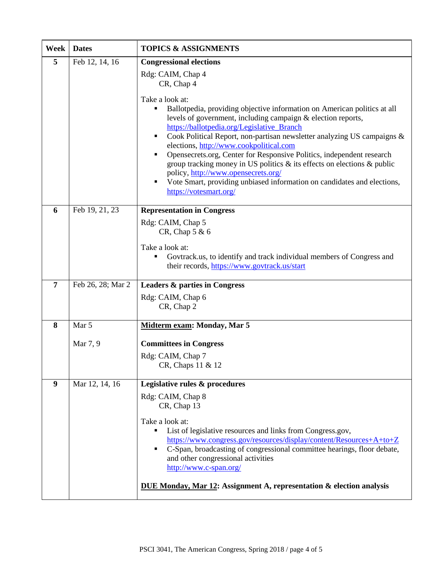| Week           | <b>Dates</b>      | <b>TOPICS &amp; ASSIGNMENTS</b>                                                                                                                                                                                                                                                                                                                                                                                                                                                                                                                                                                                                                           |
|----------------|-------------------|-----------------------------------------------------------------------------------------------------------------------------------------------------------------------------------------------------------------------------------------------------------------------------------------------------------------------------------------------------------------------------------------------------------------------------------------------------------------------------------------------------------------------------------------------------------------------------------------------------------------------------------------------------------|
| 5              | Feb 12, 14, 16    | <b>Congressional elections</b><br>Rdg: CAIM, Chap 4<br>CR, Chap 4                                                                                                                                                                                                                                                                                                                                                                                                                                                                                                                                                                                         |
|                |                   | Take a look at:<br>Ballotpedia, providing objective information on American politics at all<br>٠<br>levels of government, including campaign & election reports,<br>https://ballotpedia.org/Legislative_Branch<br>Cook Political Report, non-partisan newsletter analyzing US campaigns &<br>٠<br>elections, http://www.cookpolitical.com<br>Opensecrets.org, Center for Responsive Politics, independent research<br>٠<br>group tracking money in US politics $\&$ its effects on elections $\&$ public<br>policy, http://www.opensecrets.org/<br>Vote Smart, providing unbiased information on candidates and elections,<br>٠<br>https://votesmart.org/ |
| 6              | Feb 19, 21, 23    | <b>Representation in Congress</b>                                                                                                                                                                                                                                                                                                                                                                                                                                                                                                                                                                                                                         |
|                |                   | Rdg: CAIM, Chap 5<br>CR, Chap 5 & 6                                                                                                                                                                                                                                                                                                                                                                                                                                                                                                                                                                                                                       |
|                |                   | Take a look at:                                                                                                                                                                                                                                                                                                                                                                                                                                                                                                                                                                                                                                           |
|                |                   | Govtrack.us, to identify and track individual members of Congress and<br>٠<br>their records, https://www.govtrack.us/start                                                                                                                                                                                                                                                                                                                                                                                                                                                                                                                                |
| $\overline{7}$ | Feb 26, 28; Mar 2 | <b>Leaders &amp; parties in Congress</b>                                                                                                                                                                                                                                                                                                                                                                                                                                                                                                                                                                                                                  |
|                |                   | Rdg: CAIM, Chap 6<br>CR, Chap 2                                                                                                                                                                                                                                                                                                                                                                                                                                                                                                                                                                                                                           |
| 8              | Mar 5             | Midterm exam: Monday, Mar 5                                                                                                                                                                                                                                                                                                                                                                                                                                                                                                                                                                                                                               |
|                | Mar 7, 9          | <b>Committees in Congress</b>                                                                                                                                                                                                                                                                                                                                                                                                                                                                                                                                                                                                                             |
|                |                   | Rdg: CAIM, Chap 7<br>CR, Chaps 11 & 12                                                                                                                                                                                                                                                                                                                                                                                                                                                                                                                                                                                                                    |
| 9              | Mar 12, 14, 16    | Legislative rules & procedures                                                                                                                                                                                                                                                                                                                                                                                                                                                                                                                                                                                                                            |
|                |                   | Rdg: CAIM, Chap 8<br>CR, Chap 13                                                                                                                                                                                                                                                                                                                                                                                                                                                                                                                                                                                                                          |
|                |                   | Take a look at:<br>List of legislative resources and links from Congress.gov,<br>https://www.congress.gov/resources/display/content/Resources+A+to+Z<br>C-Span, broadcasting of congressional committee hearings, floor debate,<br>and other congressional activities<br>http://www.c-span.org/<br><b>DUE Monday, Mar 12: Assignment A, representation &amp; election analysis</b>                                                                                                                                                                                                                                                                        |